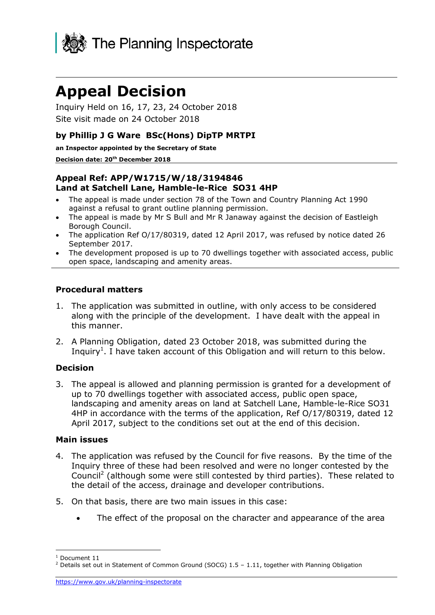

# **Appeal Decision**

Inquiry Held on 16, 17, 23, 24 October 2018 Site visit made on 24 October 2018

#### **by Phillip J G Ware BSc(Hons) DipTP MRTPI**

**an Inspector appointed by the Secretary of State**

#### **Decision date: 20th December 2018**

#### **Appeal Ref: APP/W1715/W/18/3194846 Land at Satchell Lane, Hamble-le-Rice SO31 4HP**

- The appeal is made under section 78 of the Town and Country Planning Act 1990 against a refusal to grant outline planning permission.
- The appeal is made by Mr S Bull and Mr R Janaway against the decision of Eastleigh Borough Council.
- The application Ref O/17/80319, dated 12 April 2017, was refused by notice dated 26 September 2017.
- The development proposed is up to 70 dwellings together with associated access, public open space, landscaping and amenity areas.

#### **Procedural matters**

- 1. The application was submitted in outline, with only access to be considered along with the principle of the development. I have dealt with the appeal in this manner.
- 2. A Planning Obligation, dated 23 October 2018, was submitted during the Inquiry<sup>1</sup>. I have taken account of this Obligation and will return to this below.

#### **Decision**

3. The appeal is allowed and planning permission is granted for a development of up to 70 dwellings together with associated access, public open space, landscaping and amenity areas on land at Satchell Lane, Hamble-le-Rice SO31 4HP in accordance with the terms of the application, Ref O/17/80319, dated 12 April 2017, subject to the conditions set out at the end of this decision.

#### **Main issues**

- 4. The application was refused by the Council for five reasons. By the time of the Inquiry three of these had been resolved and were no longer contested by the Council<sup>2</sup> (although some were still contested by third parties). These related to the detail of the access, drainage and developer contributions.
- 5. On that basis, there are two main issues in this case:
	- The effect of the proposal on the character and appearance of the area

j

Document 11

 $2$  Details set out in Statement of Common Ground (SOCG) 1.5 - 1.11, together with Planning Obligation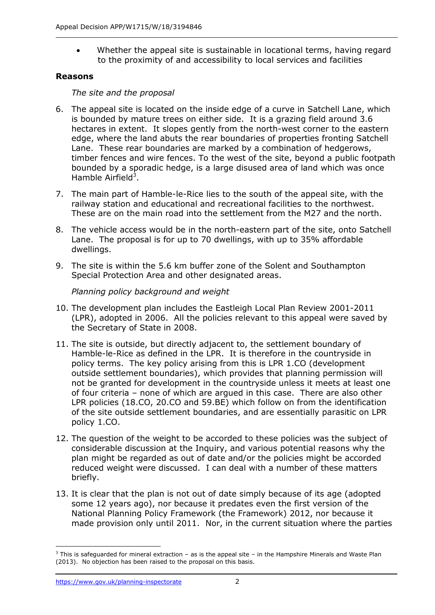Whether the appeal site is sustainable in locational terms, having regard to the proximity of and accessibility to local services and facilities

#### **Reasons**

#### *The site and the proposal*

- 6. The appeal site is located on the inside edge of a curve in Satchell Lane, which is bounded by mature trees on either side. It is a grazing field around 3.6 hectares in extent. It slopes gently from the north-west corner to the eastern edge, where the land abuts the rear boundaries of properties fronting Satchell Lane. These rear boundaries are marked by a combination of hedgerows, timber fences and wire fences. To the west of the site, beyond a public footpath bounded by a sporadic hedge, is a large disused area of land which was once Hamble Airfield<sup>3</sup>.
- 7. The main part of Hamble-le-Rice lies to the south of the appeal site, with the railway station and educational and recreational facilities to the northwest. These are on the main road into the settlement from the M27 and the north.
- 8. The vehicle access would be in the north-eastern part of the site, onto Satchell Lane. The proposal is for up to 70 dwellings, with up to 35% affordable dwellings.
- 9. The site is within the 5.6 km buffer zone of the Solent and Southampton Special Protection Area and other designated areas.

# *Planning policy background and weight*

- 10. The development plan includes the Eastleigh Local Plan Review 2001-2011 (LPR), adopted in 2006. All the policies relevant to this appeal were saved by the Secretary of State in 2008.
- 11. The site is outside, but directly adjacent to, the settlement boundary of Hamble-le-Rice as defined in the LPR. It is therefore in the countryside in policy terms. The key policy arising from this is LPR 1.CO (development outside settlement boundaries), which provides that planning permission will not be granted for development in the countryside unless it meets at least one of four criteria – none of which are argued in this case. There are also other LPR policies (18.CO, 20.CO and 59.BE) which follow on from the identification of the site outside settlement boundaries, and are essentially parasitic on LPR policy 1.CO.
- 12. The question of the weight to be accorded to these policies was the subject of considerable discussion at the Inquiry, and various potential reasons why the plan might be regarded as out of date and/or the policies might be accorded reduced weight were discussed. I can deal with a number of these matters briefly.
- 13. It is clear that the plan is not out of date simply because of its age (adopted some 12 years ago), nor because it predates even the first version of the National Planning Policy Framework (the Framework) 2012, nor because it made provision only until 2011. Nor, in the current situation where the parties

j  $3$  This is safeguarded for mineral extraction – as is the appeal site – in the Hampshire Minerals and Waste Plan (2013). No objection has been raised to the proposal on this basis.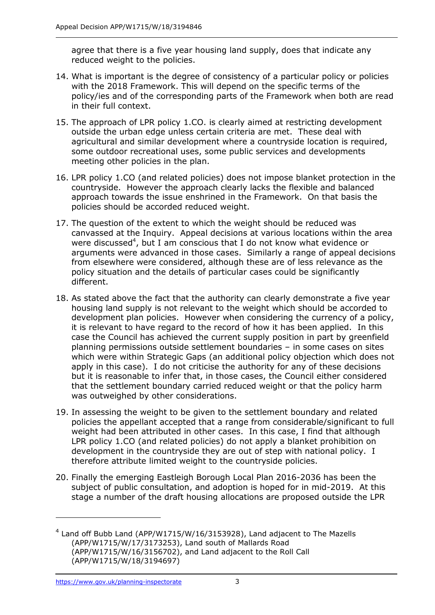agree that there is a five year housing land supply, does that indicate any reduced weight to the policies.

- 14. What is important is the degree of consistency of a particular policy or policies with the 2018 Framework. This will depend on the specific terms of the policy/ies and of the corresponding parts of the Framework when both are read in their full context.
- 15. The approach of LPR policy 1.CO. is clearly aimed at restricting development outside the urban edge unless certain criteria are met. These deal with agricultural and similar development where a countryside location is required, some outdoor recreational uses, some public services and developments meeting other policies in the plan.
- 16. LPR policy 1.CO (and related policies) does not impose blanket protection in the countryside. However the approach clearly lacks the flexible and balanced approach towards the issue enshrined in the Framework. On that basis the policies should be accorded reduced weight.
- 17. The question of the extent to which the weight should be reduced was canvassed at the Inquiry. Appeal decisions at various locations within the area were discussed<sup>4</sup>, but I am conscious that I do not know what evidence or arguments were advanced in those cases. Similarly a range of appeal decisions from elsewhere were considered, although these are of less relevance as the policy situation and the details of particular cases could be significantly different.
- 18. As stated above the fact that the authority can clearly demonstrate a five year housing land supply is not relevant to the weight which should be accorded to development plan policies. However when considering the currency of a policy, it is relevant to have regard to the record of how it has been applied. In this case the Council has achieved the current supply position in part by greenfield planning permissions outside settlement boundaries – in some cases on sites which were within Strategic Gaps (an additional policy objection which does not apply in this case). I do not criticise the authority for any of these decisions but it is reasonable to infer that, in those cases, the Council either considered that the settlement boundary carried reduced weight or that the policy harm was outweighed by other considerations.
- 19. In assessing the weight to be given to the settlement boundary and related policies the appellant accepted that a range from considerable/significant to full weight had been attributed in other cases. In this case, I find that although LPR policy 1.CO (and related policies) do not apply a blanket prohibition on development in the countryside they are out of step with national policy. I therefore attribute limited weight to the countryside policies.
- 20. Finally the emerging Eastleigh Borough Local Plan 2016-2036 has been the subject of public consultation, and adoption is hoped for in mid-2019. At this stage a number of the draft housing allocations are proposed outside the LPR

-

 $4$  Land off Bubb Land (APP/W1715/W/16/3153928), Land adjacent to The Mazells (APP/W1715/W/17/3173253), Land south of Mallards Road (APP/W1715/W/16/3156702), and Land adjacent to the Roll Call (APP/W1715/W/18/3194697)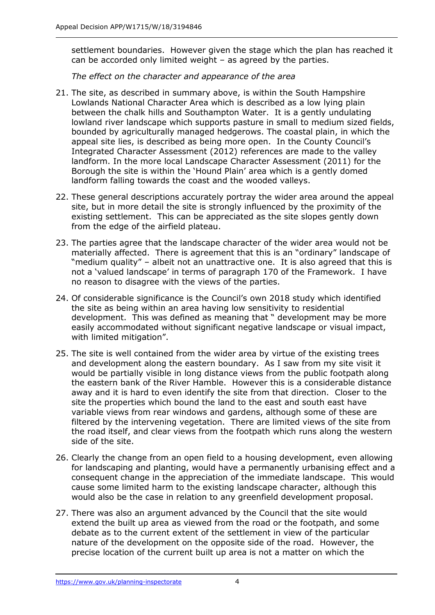settlement boundaries. However given the stage which the plan has reached it can be accorded only limited weight – as agreed by the parties.

*The effect on the character and appearance of the area*

- 21. The site, as described in summary above, is within the South Hampshire Lowlands National Character Area which is described as a low lying plain between the chalk hills and Southampton Water. It is a gently undulating lowland river landscape which supports pasture in small to medium sized fields, bounded by agriculturally managed hedgerows. The coastal plain, in which the appeal site lies, is described as being more open. In the County Council's Integrated Character Assessment (2012) references are made to the valley landform. In the more local Landscape Character Assessment (2011) for the Borough the site is within the 'Hound Plain' area which is a gently domed landform falling towards the coast and the wooded valleys.
- 22. These general descriptions accurately portray the wider area around the appeal site, but in more detail the site is strongly influenced by the proximity of the existing settlement. This can be appreciated as the site slopes gently down from the edge of the airfield plateau.
- 23. The parties agree that the landscape character of the wider area would not be materially affected. There is agreement that this is an "ordinary" landscape of "medium quality" – albeit not an unattractive one. It is also agreed that this is not a 'valued landscape' in terms of paragraph 170 of the Framework. I have no reason to disagree with the views of the parties.
- 24. Of considerable significance is the Council's own 2018 study which identified the site as being within an area having low sensitivity to residential development. This was defined as meaning that " development may be more easily accommodated without significant negative landscape or visual impact, with limited mitigation".
- 25. The site is well contained from the wider area by virtue of the existing trees and development along the eastern boundary. As I saw from my site visit it would be partially visible in long distance views from the public footpath along the eastern bank of the River Hamble. However this is a considerable distance away and it is hard to even identify the site from that direction. Closer to the site the properties which bound the land to the east and south east have variable views from rear windows and gardens, although some of these are filtered by the intervening vegetation. There are limited views of the site from the road itself, and clear views from the footpath which runs along the western side of the site.
- 26. Clearly the change from an open field to a housing development, even allowing for landscaping and planting, would have a permanently urbanising effect and a consequent change in the appreciation of the immediate landscape. This would cause some limited harm to the existing landscape character, although this would also be the case in relation to any greenfield development proposal.
- 27. There was also an argument advanced by the Council that the site would extend the built up area as viewed from the road or the footpath, and some debate as to the current extent of the settlement in view of the particular nature of the development on the opposite side of the road. However, the precise location of the current built up area is not a matter on which the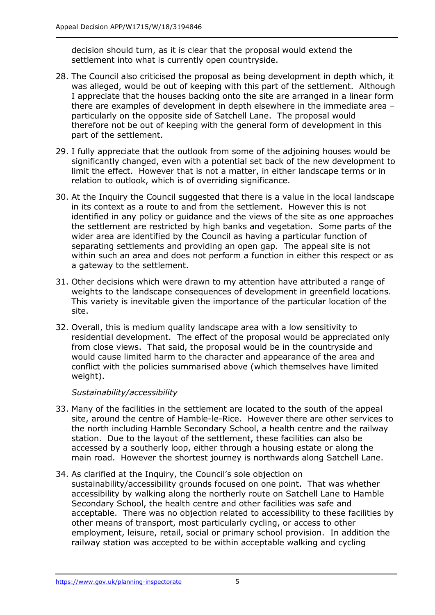decision should turn, as it is clear that the proposal would extend the settlement into what is currently open countryside.

- 28. The Council also criticised the proposal as being development in depth which, it was alleged, would be out of keeping with this part of the settlement. Although I appreciate that the houses backing onto the site are arranged in a linear form there are examples of development in depth elsewhere in the immediate area – particularly on the opposite side of Satchell Lane. The proposal would therefore not be out of keeping with the general form of development in this part of the settlement.
- 29. I fully appreciate that the outlook from some of the adjoining houses would be significantly changed, even with a potential set back of the new development to limit the effect. However that is not a matter, in either landscape terms or in relation to outlook, which is of overriding significance.
- 30. At the Inquiry the Council suggested that there is a value in the local landscape in its context as a route to and from the settlement. However this is not identified in any policy or guidance and the views of the site as one approaches the settlement are restricted by high banks and vegetation. Some parts of the wider area are identified by the Council as having a particular function of separating settlements and providing an open gap. The appeal site is not within such an area and does not perform a function in either this respect or as a gateway to the settlement.
- 31. Other decisions which were drawn to my attention have attributed a range of weights to the landscape consequences of development in greenfield locations. This variety is inevitable given the importance of the particular location of the site.
- 32. Overall, this is medium quality landscape area with a low sensitivity to residential development. The effect of the proposal would be appreciated only from close views. That said, the proposal would be in the countryside and would cause limited harm to the character and appearance of the area and conflict with the policies summarised above (which themselves have limited weight).

#### *Sustainability/accessibility*

- 33. Many of the facilities in the settlement are located to the south of the appeal site, around the centre of Hamble-le-Rice. However there are other services to the north including Hamble Secondary School, a health centre and the railway station. Due to the layout of the settlement, these facilities can also be accessed by a southerly loop, either through a housing estate or along the main road. However the shortest journey is northwards along Satchell Lane.
- 34. As clarified at the Inquiry, the Council's sole objection on sustainability/accessibility grounds focused on one point. That was whether accessibility by walking along the northerly route on Satchell Lane to Hamble Secondary School, the health centre and other facilities was safe and acceptable. There was no objection related to accessibility to these facilities by other means of transport, most particularly cycling, or access to other employment, leisure, retail, social or primary school provision. In addition the railway station was accepted to be within acceptable walking and cycling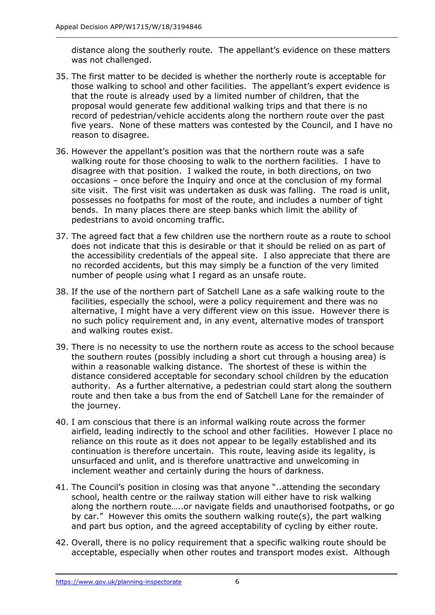distance along the southerly route. The appellant's evidence on these matters was not challenged.

- 35. The first matter to be decided is whether the northerly route is acceptable for those walking to school and other facilities. The appellant's expert evidence is that the route is already used by a limited number of children, that the proposal would generate few additional walking trips and that there is no record of pedestrian/vehicle accidents along the northern route over the past five years. None of these matters was contested by the Council, and I have no reason to disagree.
- 36. However the appellant's position was that the northern route was a safe walking route for those choosing to walk to the northern facilities. I have to disagree with that position. I walked the route, in both directions, on two occasions – once before the Inquiry and once at the conclusion of my formal site visit. The first visit was undertaken as dusk was falling. The road is unlit, possesses no footpaths for most of the route, and includes a number of tight bends. In many places there are steep banks which limit the ability of pedestrians to avoid oncoming traffic.
- 37. The agreed fact that a few children use the northern route as a route to school does not indicate that this is desirable or that it should be relied on as part of the accessibility credentials of the appeal site. I also appreciate that there are no recorded accidents, but this may simply be a function of the very limited number of people using what I regard as an unsafe route.
- 38. If the use of the northern part of Satchell Lane as a safe walking route to the facilities, especially the school, were a policy requirement and there was no alternative, I might have a very different view on this issue. However there is no such policy requirement and, in any event, alternative modes of transport and walking routes exist.
- 39. There is no necessity to use the northern route as access to the school because the southern routes (possibly including a short cut through a housing area) is within a reasonable walking distance. The shortest of these is within the distance considered acceptable for secondary school children by the education authority. As a further alternative, a pedestrian could start along the southern route and then take a bus from the end of Satchell Lane for the remainder of the journey.
- 40. I am conscious that there is an informal walking route across the former airfield, leading indirectly to the school and other facilities. However I place no reliance on this route as it does not appear to be legally established and its continuation is therefore uncertain. This route, leaving aside its legality, is unsurfaced and unlit, and is therefore unattractive and unwelcoming in inclement weather and certainly during the hours of darkness.
- 41. The Council's position in closing was that anyone "..attending the secondary school, health centre or the railway station will either have to risk walking along the northern route…..or navigate fields and unauthorised footpaths, or go by car." However this omits the southern walking route(s), the part walking and part bus option, and the agreed acceptability of cycling by either route.
- 42. Overall, there is no policy requirement that a specific walking route should be acceptable, especially when other routes and transport modes exist. Although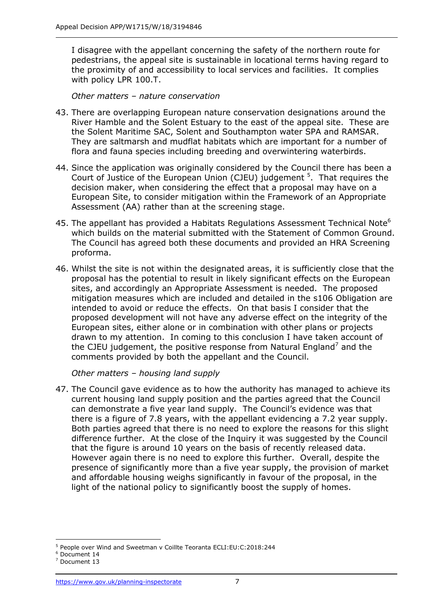I disagree with the appellant concerning the safety of the northern route for pedestrians, the appeal site is sustainable in locational terms having regard to the proximity of and accessibility to local services and facilities. It complies with policy LPR 100.T.

*Other matters – nature conservation*

- 43. There are overlapping European nature conservation designations around the River Hamble and the Solent Estuary to the east of the appeal site. These are the Solent Maritime SAC, Solent and Southampton water SPA and RAMSAR. They are saltmarsh and mudflat habitats which are important for a number of flora and fauna species including breeding and overwintering waterbirds.
- 44. Since the application was originally considered by the Council there has been a Court of Justice of the European Union (CJEU) judgement  $5$ . That requires the decision maker, when considering the effect that a proposal may have on a European Site, to consider mitigation within the Framework of an Appropriate Assessment (AA) rather than at the screening stage.
- 45. The appellant has provided a Habitats Regulations Assessment Technical Note<sup>6</sup> which builds on the material submitted with the Statement of Common Ground. The Council has agreed both these documents and provided an HRA Screening proforma.
- 46. Whilst the site is not within the designated areas, it is sufficiently close that the proposal has the potential to result in likely significant effects on the European sites, and accordingly an Appropriate Assessment is needed. The proposed mitigation measures which are included and detailed in the s106 Obligation are intended to avoid or reduce the effects. On that basis I consider that the proposed development will not have any adverse effect on the integrity of the European sites, either alone or in combination with other plans or projects drawn to my attention. In coming to this conclusion I have taken account of the CJEU judgement, the positive response from Natural England<sup>7</sup> and the comments provided by both the appellant and the Council.

*Other matters – housing land supply* 

47. The Council gave evidence as to how the authority has managed to achieve its current housing land supply position and the parties agreed that the Council can demonstrate a five year land supply. The Council's evidence was that there is a figure of 7.8 years, with the appellant evidencing a 7.2 year supply. Both parties agreed that there is no need to explore the reasons for this slight difference further. At the close of the Inquiry it was suggested by the Council that the figure is around 10 years on the basis of recently released data. However again there is no need to explore this further. Overall, despite the presence of significantly more than a five year supply, the provision of market and affordable housing weighs significantly in favour of the proposal, in the light of the national policy to significantly boost the supply of homes.

j <sup>5</sup> People over Wind and Sweetman v Coillte Teoranta ECLI:EU:C:2018:244

<sup>6</sup> Document 14

<sup>7</sup> Document 13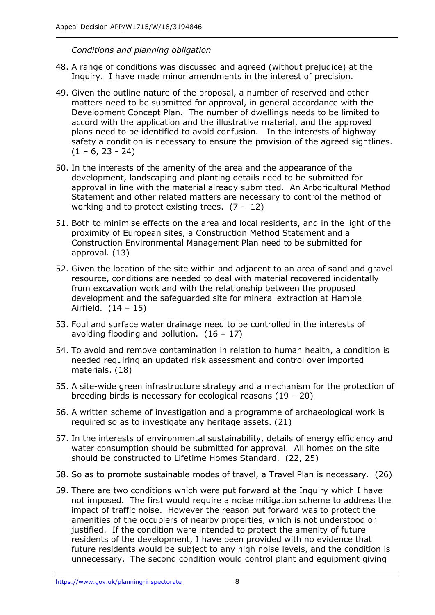#### *Conditions and planning obligation*

- 48. A range of conditions was discussed and agreed (without prejudice) at the Inquiry. I have made minor amendments in the interest of precision.
- 49. Given the outline nature of the proposal, a number of reserved and other matters need to be submitted for approval, in general accordance with the Development Concept Plan. The number of dwellings needs to be limited to accord with the application and the illustrative material, and the approved plans need to be identified to avoid confusion. In the interests of highway safety a condition is necessary to ensure the provision of the agreed sightlines.  $(1 - 6, 23 - 24)$
- 50. In the interests of the amenity of the area and the appearance of the development, landscaping and planting details need to be submitted for approval in line with the material already submitted. An Arboricultural Method Statement and other related matters are necessary to control the method of working and to protect existing trees. (7 - 12)
- 51. Both to minimise effects on the area and local residents, and in the light of the proximity of European sites, a Construction Method Statement and a Construction Environmental Management Plan need to be submitted for approval. (13)
- 52. Given the location of the site within and adjacent to an area of sand and gravel resource, conditions are needed to deal with material recovered incidentally from excavation work and with the relationship between the proposed development and the safeguarded site for mineral extraction at Hamble Airfield. (14 – 15)
- 53. Foul and surface water drainage need to be controlled in the interests of avoiding flooding and pollution.  $(16 - 17)$
- 54. To avoid and remove contamination in relation to human health, a condition is needed requiring an updated risk assessment and control over imported materials. (18)
- 55. A site-wide green infrastructure strategy and a mechanism for the protection of breeding birds is necessary for ecological reasons (19 – 20)
- 56. A written scheme of investigation and a programme of archaeological work is required so as to investigate any heritage assets. (21)
- 57. In the interests of environmental sustainability, details of energy efficiency and water consumption should be submitted for approval. All homes on the site should be constructed to Lifetime Homes Standard. (22, 25)
- 58. So as to promote sustainable modes of travel, a Travel Plan is necessary. (26)
- 59. There are two conditions which were put forward at the Inquiry which I have not imposed. The first would require a noise mitigation scheme to address the impact of traffic noise. However the reason put forward was to protect the amenities of the occupiers of nearby properties, which is not understood or justified. If the condition were intended to protect the amenity of future residents of the development, I have been provided with no evidence that future residents would be subject to any high noise levels, and the condition is unnecessary. The second condition would control plant and equipment giving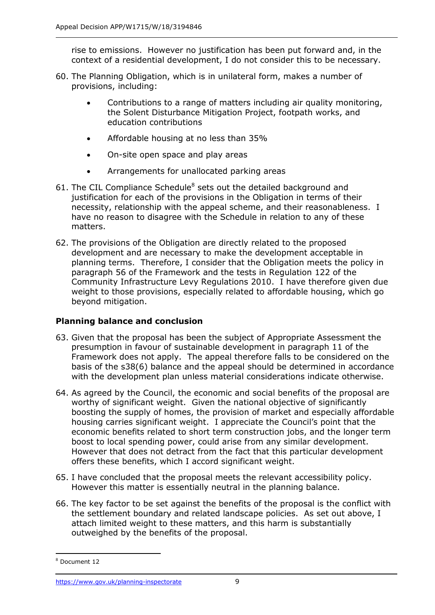rise to emissions. However no justification has been put forward and, in the context of a residential development, I do not consider this to be necessary.

- 60. The Planning Obligation, which is in unilateral form, makes a number of provisions, including:
	- Contributions to a range of matters including air quality monitoring, the Solent Disturbance Mitigation Project, footpath works, and education contributions
	- Affordable housing at no less than 35%
	- On-site open space and play areas
	- Arrangements for unallocated parking areas
- 61. The CIL Compliance Schedule $8$  sets out the detailed background and justification for each of the provisions in the Obligation in terms of their necessity, relationship with the appeal scheme, and their reasonableness. I have no reason to disagree with the Schedule in relation to any of these matters.
- 62. The provisions of the Obligation are directly related to the proposed development and are necessary to make the development acceptable in planning terms. Therefore, I consider that the Obligation meets the policy in paragraph 56 of the Framework and the tests in Regulation 122 of the Community Infrastructure Levy Regulations 2010. I have therefore given due weight to those provisions, especially related to affordable housing, which go beyond mitigation.

#### **Planning balance and conclusion**

- 63. Given that the proposal has been the subject of Appropriate Assessment the presumption in favour of sustainable development in paragraph 11 of the Framework does not apply. The appeal therefore falls to be considered on the basis of the s38(6) balance and the appeal should be determined in accordance with the development plan unless material considerations indicate otherwise.
- 64. As agreed by the Council, the economic and social benefits of the proposal are worthy of significant weight. Given the national objective of significantly boosting the supply of homes, the provision of market and especially affordable housing carries significant weight. I appreciate the Council's point that the economic benefits related to short term construction jobs, and the longer term boost to local spending power, could arise from any similar development. However that does not detract from the fact that this particular development offers these benefits, which I accord significant weight.
- 65. I have concluded that the proposal meets the relevant accessibility policy. However this matter is essentially neutral in the planning balance.
- 66. The key factor to be set against the benefits of the proposal is the conflict with the settlement boundary and related landscape policies. As set out above, I attach limited weight to these matters, and this harm is substantially outweighed by the benefits of the proposal.

<sup>-</sup><sup>8</sup> Document 12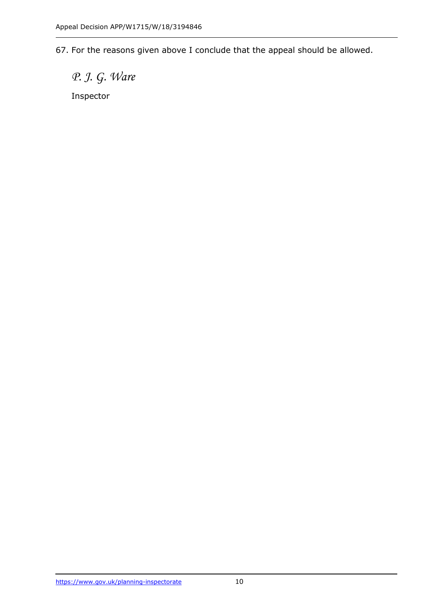67. For the reasons given above I conclude that the appeal should be allowed.

*P. J. G. Ware*

Inspector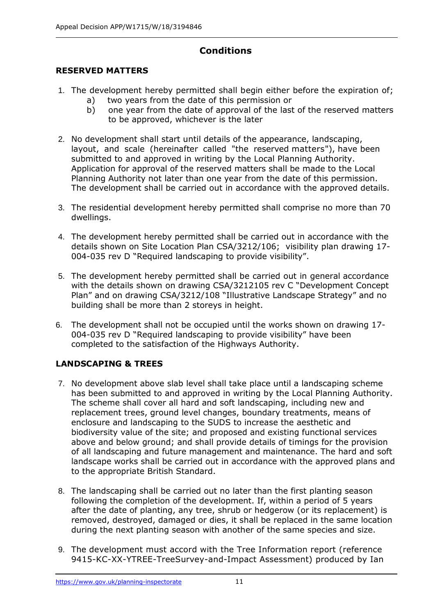# **Conditions**

# **RESERVED MATTERS**

- 1. The development hereby permitted shall begin either before the expiration of; a) two years from the date of this permission or
	- b) one year from the date of approval of the last of the reserved matters to be approved, whichever is the later
- 2. No development shall start until details of the appearance, landscaping, layout, and scale (hereinafter called "the reserved matters"), have been submitted to and approved in writing by the Local Planning Authority. Application for approval of the reserved matters shall be made to the Local Planning Authority not later than one year from the date of this permission. The development shall be carried out in accordance with the approved details.
- 3. The residential development hereby permitted shall comprise no more than 70 dwellings.
- 4. The development hereby permitted shall be carried out in accordance with the details shown on Site Location Plan CSA/3212/106; visibility plan drawing 17- 004-035 rev D "Required landscaping to provide visibility".
- 5. The development hereby permitted shall be carried out in general accordance with the details shown on drawing CSA/3212105 rev C "Development Concept Plan" and on drawing CSA/3212/108 "Illustrative Landscape Strategy" and no building shall be more than 2 storeys in height.
- 6. The development shall not be occupied until the works shown on drawing 17- 004-035 rev D "Required landscaping to provide visibility" have been completed to the satisfaction of the Highways Authority.

# **LANDSCAPING & TREES**

- 7. No development above slab level shall take place until a landscaping scheme has been submitted to and approved in writing by the Local Planning Authority. The scheme shall cover all hard and soft landscaping, including new and replacement trees, ground level changes, boundary treatments, means of enclosure and landscaping to the SUDS to increase the aesthetic and biodiversity value of the site; and proposed and existing functional services above and below ground; and shall provide details of timings for the provision of all landscaping and future management and maintenance. The hard and soft landscape works shall be carried out in accordance with the approved plans and to the appropriate British Standard.
- 8. The landscaping shall be carried out no later than the first planting season following the completion of the development. If, within a period of 5 years after the date of planting, any tree, shrub or hedgerow (or its replacement) is removed, destroyed, damaged or dies, it shall be replaced in the same location during the next planting season with another of the same species and size.
- 9. The development must accord with the Tree Information report (reference 9415-KC-XX-YTREE-TreeSurvey-and-Impact Assessment) produced by Ian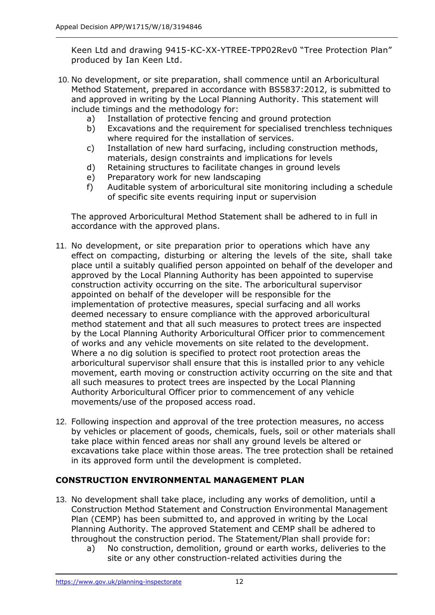Keen Ltd and drawing 9415-KC-XX-YTREE-TPP02Rev0 "Tree Protection Plan" produced by Ian Keen Ltd.

- 10. No development, or site preparation, shall commence until an Arboricultural Method Statement, prepared in accordance with BS5837:2012, is submitted to and approved in writing by the Local Planning Authority. This statement will include timings and the methodology for:
	- a) Installation of protective fencing and ground protection
	- b) Excavations and the requirement for specialised trenchless techniques where required for the installation of services.
	- c) Installation of new hard surfacing, including construction methods, materials, design constraints and implications for levels
	- d) Retaining structures to facilitate changes in ground levels
	- e) Preparatory work for new landscaping
	- f) Auditable system of arboricultural site monitoring including a schedule of specific site events requiring input or supervision

The approved Arboricultural Method Statement shall be adhered to in full in accordance with the approved plans.

- 11. No development, or site preparation prior to operations which have any effect on compacting, disturbing or altering the levels of the site, shall take place until a suitably qualified person appointed on behalf of the developer and approved by the Local Planning Authority has been appointed to supervise construction activity occurring on the site. The arboricultural supervisor appointed on behalf of the developer will be responsible for the implementation of protective measures, special surfacing and all works deemed necessary to ensure compliance with the approved arboricultural method statement and that all such measures to protect trees are inspected by the Local Planning Authority Arboricultural Officer prior to commencement of works and any vehicle movements on site related to the development. Where a no dig solution is specified to protect root protection areas the arboricultural supervisor shall ensure that this is installed prior to any vehicle movement, earth moving or construction activity occurring on the site and that all such measures to protect trees are inspected by the Local Planning Authority Arboricultural Officer prior to commencement of any vehicle movements/use of the proposed access road.
- 12. Following inspection and approval of the tree protection measures, no access by vehicles or placement of goods, chemicals, fuels, soil or other materials shall take place within fenced areas nor shall any ground levels be altered or excavations take place within those areas. The tree protection shall be retained in its approved form until the development is completed.

#### **CONSTRUCTION ENVIRONMENTAL MANAGEMENT PLAN**

- 13. No development shall take place, including any works of demolition, until a Construction Method Statement and Construction Environmental Management Plan (CEMP) has been submitted to, and approved in writing by the Local Planning Authority. The approved Statement and CEMP shall be adhered to throughout the construction period. The Statement/Plan shall provide for:
	- a) No construction, demolition, ground or earth works, deliveries to the site or any other construction-related activities during the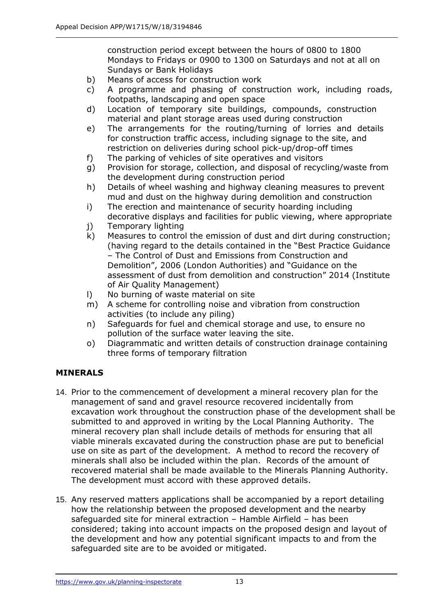construction period except between the hours of 0800 to 1800 Mondays to Fridays or 0900 to 1300 on Saturdays and not at all on Sundays or Bank Holidays

- b) Means of access for construction work
- c) A programme and phasing of construction work, including roads, footpaths, landscaping and open space
- d) Location of temporary site buildings, compounds, construction material and plant storage areas used during construction
- e) The arrangements for the routing/turning of lorries and details for construction traffic access, including signage to the site, and restriction on deliveries during school pick-up/drop-off times
- f) The parking of vehicles of site operatives and visitors
- g) Provision for storage, collection, and disposal of recycling/waste from the development during construction period
- h) Details of wheel washing and highway cleaning measures to prevent mud and dust on the highway during demolition and construction
- i) The erection and maintenance of security hoarding including decorative displays and facilities for public viewing, where appropriate
- j) Temporary lighting
- k) Measures to control the emission of dust and dirt during construction; (having regard to the details contained in the "Best Practice Guidance – The Control of Dust and Emissions from Construction and Demolition", 2006 (London Authorities) and "Guidance on the assessment of dust from demolition and construction" 2014 (Institute of Air Quality Management)
- l) No burning of waste material on site
- m) A scheme for controlling noise and vibration from construction activities (to include any piling)
- n) Safeguards for fuel and chemical storage and use, to ensure no pollution of the surface water leaving the site.
- o) Diagrammatic and written details of construction drainage containing three forms of temporary filtration

#### **MINERALS**

- 14. Prior to the commencement of development a mineral recovery plan for the management of sand and gravel resource recovered incidentally from excavation work throughout the construction phase of the development shall be submitted to and approved in writing by the Local Planning Authority. The mineral recovery plan shall include details of methods for ensuring that all viable minerals excavated during the construction phase are put to beneficial use on site as part of the development. A method to record the recovery of minerals shall also be included within the plan. Records of the amount of recovered material shall be made available to the Minerals Planning Authority. The development must accord with these approved details.
- 15. Any reserved matters applications shall be accompanied by a report detailing how the relationship between the proposed development and the nearby safeguarded site for mineral extraction – Hamble Airfield – has been considered; taking into account impacts on the proposed design and layout of the development and how any potential significant impacts to and from the safeguarded site are to be avoided or mitigated.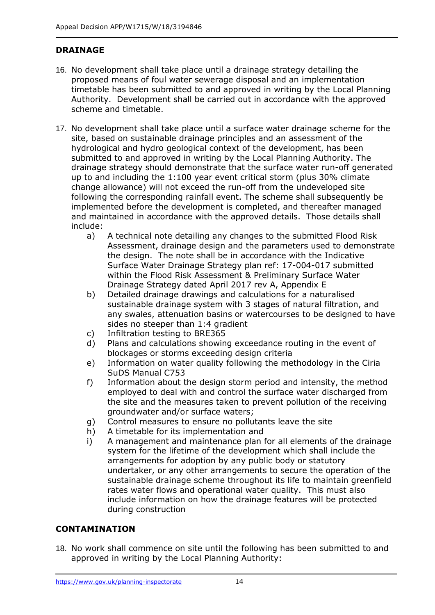# **DRAINAGE**

- 16. No development shall take place until a drainage strategy detailing the proposed means of foul water sewerage disposal and an implementation timetable has been submitted to and approved in writing by the Local Planning Authority. Development shall be carried out in accordance with the approved scheme and timetable.
- 17. No development shall take place until a surface water drainage scheme for the site, based on sustainable drainage principles and an assessment of the hydrological and hydro geological context of the development, has been submitted to and approved in writing by the Local Planning Authority. The drainage strategy should demonstrate that the surface water run-off generated up to and including the 1:100 year event critical storm (plus 30% climate change allowance) will not exceed the run-off from the undeveloped site following the corresponding rainfall event. The scheme shall subsequently be implemented before the development is completed, and thereafter managed and maintained in accordance with the approved details. Those details shall include:
	- a) A technical note detailing any changes to the submitted Flood Risk Assessment, drainage design and the parameters used to demonstrate the design. The note shall be in accordance with the Indicative Surface Water Drainage Strategy plan ref: 17-004-017 submitted within the Flood Risk Assessment & Preliminary Surface Water Drainage Strategy dated April 2017 rev A, Appendix E
	- b) Detailed drainage drawings and calculations for a naturalised sustainable drainage system with 3 stages of natural filtration, and any swales, attenuation basins or watercourses to be designed to have sides no steeper than 1:4 gradient
	- c) Infiltration testing to BRE365
	- d) Plans and calculations showing exceedance routing in the event of blockages or storms exceeding design criteria
	- e) Information on water quality following the methodology in the Ciria SuDS Manual C753
	- f) Information about the design storm period and intensity, the method employed to deal with and control the surface water discharged from the site and the measures taken to prevent pollution of the receiving groundwater and/or surface waters;
	- g) Control measures to ensure no pollutants leave the site
	- h) A timetable for its implementation and
	- i) A management and maintenance plan for all elements of the drainage system for the lifetime of the development which shall include the arrangements for adoption by any public body or statutory undertaker, or any other arrangements to secure the operation of the sustainable drainage scheme throughout its life to maintain greenfield rates water flows and operational water quality. This must also include information on how the drainage features will be protected during construction

#### **CONTAMINATION**

18. No work shall commence on site until the following has been submitted to and approved in writing by the Local Planning Authority: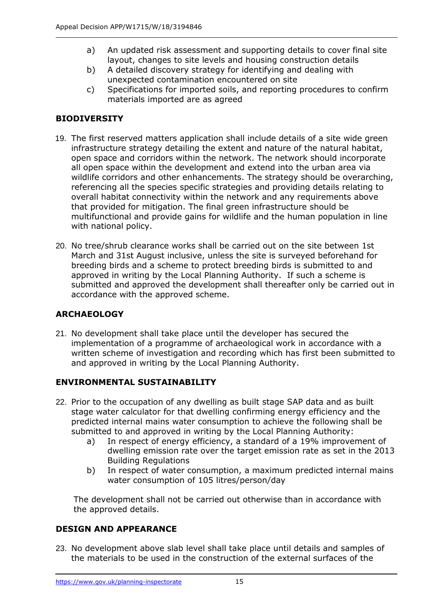- a) An updated risk assessment and supporting details to cover final site layout, changes to site levels and housing construction details
- b) A detailed discovery strategy for identifying and dealing with unexpected contamination encountered on site
- c) Specifications for imported soils, and reporting procedures to confirm materials imported are as agreed

# **BIODIVERSITY**

- 19. The first reserved matters application shall include details of a site wide green infrastructure strategy detailing the extent and nature of the natural habitat, open space and corridors within the network. The network should incorporate all open space within the development and extend into the urban area via wildlife corridors and other enhancements. The strategy should be overarching, referencing all the species specific strategies and providing details relating to overall habitat connectivity within the network and any requirements above that provided for mitigation. The final green infrastructure should be multifunctional and provide gains for wildlife and the human population in line with national policy.
- 20. No tree/shrub clearance works shall be carried out on the site between 1st March and 31st August inclusive, unless the site is surveyed beforehand for breeding birds and a scheme to protect breeding birds is submitted to and approved in writing by the Local Planning Authority. If such a scheme is submitted and approved the development shall thereafter only be carried out in accordance with the approved scheme.

# **ARCHAEOLOGY**

21. No development shall take place until the developer has secured the implementation of a programme of archaeological work in accordance with a written scheme of investigation and recording which has first been submitted to and approved in writing by the Local Planning Authority.

# **ENVIRONMENTAL SUSTAINABILITY**

- 22. Prior to the occupation of any dwelling as built stage SAP data and as built stage water calculator for that dwelling confirming energy efficiency and the predicted internal mains water consumption to achieve the following shall be submitted to and approved in writing by the Local Planning Authority:
	- a) In respect of energy efficiency, a standard of a 19% improvement of dwelling emission rate over the target emission rate as set in the 2013 Building Regulations
	- b) In respect of water consumption, a maximum predicted internal mains water consumption of 105 litres/person/day

The development shall not be carried out otherwise than in accordance with the approved details.

# **DESIGN AND APPEARANCE**

23. No development above slab level shall take place until details and samples of the materials to be used in the construction of the external surfaces of the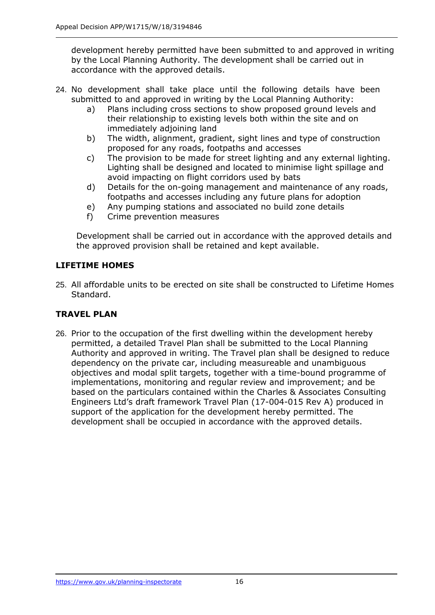development hereby permitted have been submitted to and approved in writing by the Local Planning Authority. The development shall be carried out in accordance with the approved details.

- 24. No development shall take place until the following details have been submitted to and approved in writing by the Local Planning Authority:
	- a) Plans including cross sections to show proposed ground levels and their relationship to existing levels both within the site and on immediately adjoining land
	- b) The width, alignment, gradient, sight lines and type of construction proposed for any roads, footpaths and accesses
	- c) The provision to be made for street lighting and any external lighting. Lighting shall be designed and located to minimise light spillage and avoid impacting on flight corridors used by bats
	- d) Details for the on-going management and maintenance of any roads, footpaths and accesses including any future plans for adoption
	- e) Any pumping stations and associated no build zone details
	- f) Crime prevention measures

Development shall be carried out in accordance with the approved details and the approved provision shall be retained and kept available.

#### **LIFETIME HOMES**

25. All affordable units to be erected on site shall be constructed to Lifetime Homes Standard.

#### **TRAVEL PLAN**

26. Prior to the occupation of the first dwelling within the development hereby permitted, a detailed Travel Plan shall be submitted to the Local Planning Authority and approved in writing. The Travel plan shall be designed to reduce dependency on the private car, including measureable and unambiguous objectives and modal split targets, together with a time-bound programme of implementations, monitoring and regular review and improvement; and be based on the particulars contained within the Charles & Associates Consulting Engineers Ltd's draft framework Travel Plan (17-004-015 Rev A) produced in support of the application for the development hereby permitted. The development shall be occupied in accordance with the approved details.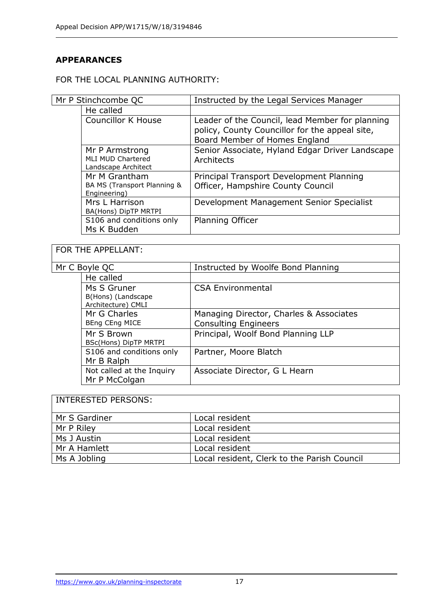# **APPEARANCES**

#### FOR THE LOCAL PLANNING AUTHORITY:

| Mr P Stinchcombe QC |                                                                   | Instructed by the Legal Services Manager                                                                                           |
|---------------------|-------------------------------------------------------------------|------------------------------------------------------------------------------------------------------------------------------------|
|                     | He called                                                         |                                                                                                                                    |
|                     | <b>Councillor K House</b>                                         | Leader of the Council, lead Member for planning<br>policy, County Councillor for the appeal site,<br>Board Member of Homes England |
|                     | Mr P Armstrong<br><b>MLI MUD Chartered</b><br>Landscape Architect | Senior Associate, Hyland Edgar Driver Landscape<br>Architects                                                                      |
|                     | Mr M Grantham<br>BA MS (Transport Planning &<br>Engineering)      | Principal Transport Development Planning<br>Officer, Hampshire County Council                                                      |
|                     | Mrs L Harrison<br>BA(Hons) DipTP MRTPI                            | Development Management Senior Specialist                                                                                           |
|                     | S106 and conditions only<br>Ms K Budden                           | <b>Planning Officer</b>                                                                                                            |

┑

| FOR THE APPELLANT: |                                                         |                                                                        |  |  |
|--------------------|---------------------------------------------------------|------------------------------------------------------------------------|--|--|
| Mr C Boyle QC      |                                                         | Instructed by Woolfe Bond Planning                                     |  |  |
|                    | He called                                               |                                                                        |  |  |
|                    | Ms S Gruner<br>B(Hons) (Landscape<br>Architecture) CMLI | <b>CSA Environmental</b>                                               |  |  |
|                    | Mr G Charles<br>BEng CEng MICE                          | Managing Director, Charles & Associates<br><b>Consulting Engineers</b> |  |  |
|                    | Mr S Brown<br>BSc(Hons) DipTP MRTPI                     | Principal, Woolf Bond Planning LLP                                     |  |  |
|                    | S106 and conditions only<br>Mr B Ralph                  | Partner, Moore Blatch                                                  |  |  |
|                    | Not called at the Inquiry<br>Mr P McColgan              | Associate Director, G L Hearn                                          |  |  |

# INTERESTED PERSONS:

| Mr S Gardiner | Local resident                              |
|---------------|---------------------------------------------|
| Mr P Riley    | Local resident                              |
| Ms J Austin   | Local resident                              |
| Mr A Hamlett  | Local resident                              |
| Ms A Jobling  | Local resident, Clerk to the Parish Council |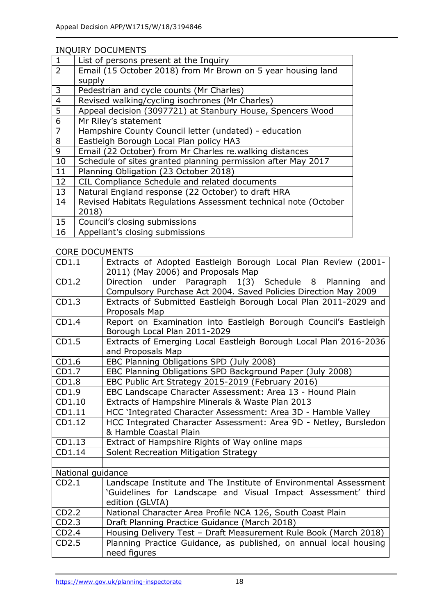#### INQUIRY DOCUMENTS

| $\mathbf{1}$   | List of persons present at the Inquiry                          |
|----------------|-----------------------------------------------------------------|
| $\overline{2}$ | Email (15 October 2018) from Mr Brown on 5 year housing land    |
|                | supply                                                          |
| 3              | Pedestrian and cycle counts (Mr Charles)                        |
| $\overline{4}$ | Revised walking/cycling isochrones (Mr Charles)                 |
| 5              | Appeal decision (3097721) at Stanbury House, Spencers Wood      |
| 6              | Mr Riley's statement                                            |
| $\overline{7}$ | Hampshire County Council letter (undated) - education           |
| 8              | Eastleigh Borough Local Plan policy HA3                         |
| 9              | Email (22 October) from Mr Charles re.walking distances         |
| 10             | Schedule of sites granted planning permission after May 2017    |
| 11             | Planning Obligation (23 October 2018)                           |
| 12             | CIL Compliance Schedule and related documents                   |
| 13             | Natural England response (22 October) to draft HRA              |
| 14             | Revised Habitats Regulations Assessment technical note (October |
|                | 2018)                                                           |
| 15             | Council's closing submissions                                   |
| 16             | Appellant's closing submissions                                 |

#### CORE DOCUMENTS

| CD1.1             | Extracts of Adopted Eastleigh Borough Local Plan Review (2001-<br>2011) (May 2006) and Proposals Map                                                  |
|-------------------|-------------------------------------------------------------------------------------------------------------------------------------------------------|
| CD1.2             | under Paragraph 1(3) Schedule 8 Planning<br>Direction<br>and<br>Compulsory Purchase Act 2004. Saved Policies Direction May 2009                       |
| CD1.3             | Extracts of Submitted Eastleigh Borough Local Plan 2011-2029 and<br>Proposals Map                                                                     |
| CD1.4             | Report on Examination into Eastleigh Borough Council's Eastleigh<br>Borough Local Plan 2011-2029                                                      |
| CD1.5             | Extracts of Emerging Local Eastleigh Borough Local Plan 2016-2036<br>and Proposals Map                                                                |
| CD1.6             | EBC Planning Obligations SPD (July 2008)                                                                                                              |
| CD1.7             | EBC Planning Obligations SPD Background Paper (July 2008)                                                                                             |
| CD1.8             | EBC Public Art Strategy 2015-2019 (February 2016)                                                                                                     |
| CD1.9             | EBC Landscape Character Assessment: Area 13 - Hound Plain                                                                                             |
| CD1.10            | Extracts of Hampshire Minerals & Waste Plan 2013                                                                                                      |
| CD1.11            | HCC 'Integrated Character Assessment: Area 3D - Hamble Valley                                                                                         |
| CD1.12            | HCC Integrated Character Assessment: Area 9D - Netley, Bursledon<br>& Hamble Coastal Plain                                                            |
| CD1.13            | Extract of Hampshire Rights of Way online maps                                                                                                        |
| CD1.14            | Solent Recreation Mitigation Strategy                                                                                                                 |
|                   |                                                                                                                                                       |
| National guidance |                                                                                                                                                       |
| CD2.1             | Landscape Institute and The Institute of Environmental Assessment<br>'Guidelines for Landscape and Visual Impact Assessment' third<br>edition (GLVIA) |
| CD2.2             | National Character Area Profile NCA 126, South Coast Plain                                                                                            |
| CD2.3             | Draft Planning Practice Guidance (March 2018)                                                                                                         |
| CD2.4             | Housing Delivery Test - Draft Measurement Rule Book (March 2018)                                                                                      |
| CD2.5             | Planning Practice Guidance, as published, on annual local housing<br>need figures                                                                     |